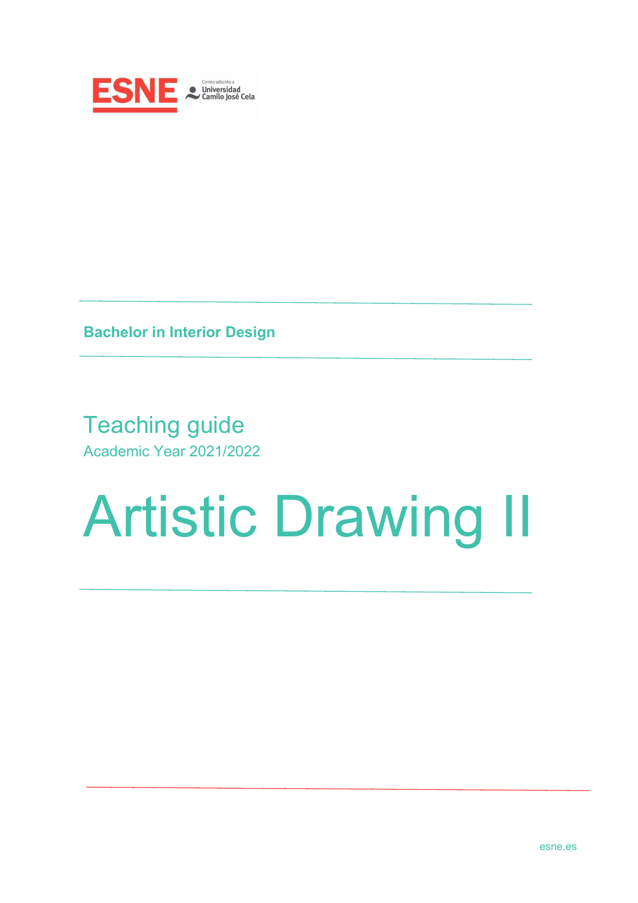

**Bachelor in Interior Design**

Teaching guide Academic Year 2021/2022

# Artistic Drawing II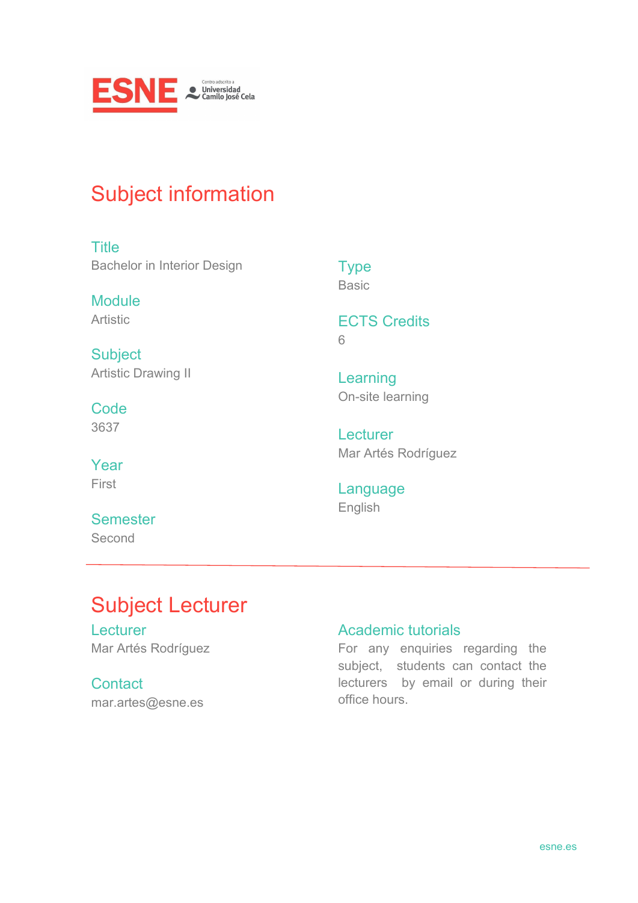

## Subject information

**Title** Bachelor in Interior Design

Module Artistic

**Subject** Artistic Drawing II

**Code** 3637

Year First

**Semester** Second

**Type** Basic

ECTS Credits 6

Learning On-site learning

**Lecturer** Mar Artés Rodríguez

Language English

# Subject Lecturer

**Lecturer** Mar Artés Rodríguez

**Contact** mar.artes@esne.es

#### Academic tutorials

For any enquiries regarding the subject, students can contact the lecturers by email or during their office hours.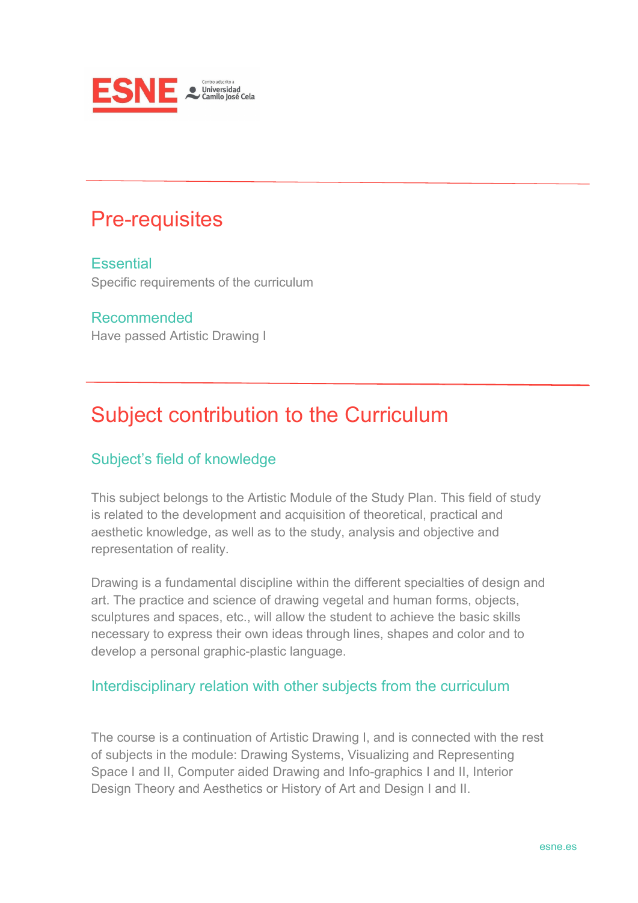

## Pre-requisites

**Essential** Specific requirements of the curriculum

Recommended Have passed Artistic Drawing I

# Subject contribution to the Curriculum

#### Subject's field of knowledge

This subject belongs to the Artistic Module of the Study Plan. This field of study is related to the development and acquisition of theoretical, practical and aesthetic knowledge, as well as to the study, analysis and objective and representation of reality.

Drawing is a fundamental discipline within the different specialties of design and art. The practice and science of drawing vegetal and human forms, objects, sculptures and spaces, etc., will allow the student to achieve the basic skills necessary to express their own ideas through lines, shapes and color and to develop a personal graphic-plastic language.

#### Interdisciplinary relation with other subjects from the curriculum

The course is a continuation of Artistic Drawing I, and is connected with the rest of subjects in the module: Drawing Systems, Visualizing and Representing Space I and II, Computer aided Drawing and Info-graphics I and II, Interior Design Theory and Aesthetics or History of Art and Design I and II.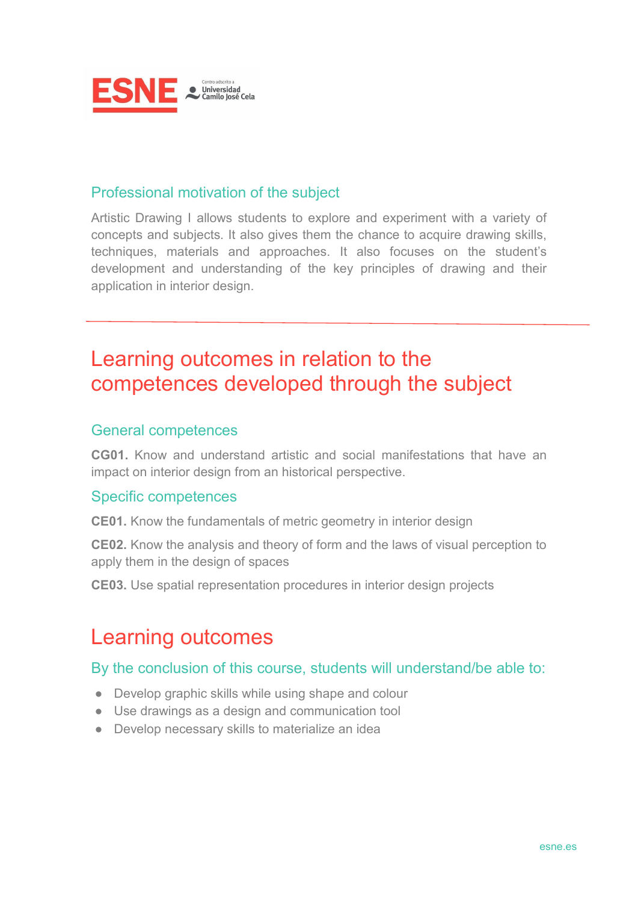

#### Professional motivation of the subject

Artistic Drawing I allows students to explore and experiment with a variety of concepts and subjects. It also gives them the chance to acquire drawing skills, techniques, materials and approaches. It also focuses on the student's development and understanding of the key principles of drawing and their application in interior design.

## Learning outcomes in relation to the competences developed through the subject

#### General competences

**CG01.** Know and understand artistic and social manifestations that have an impact on interior design from an historical perspective.

#### Specific competences

**CE01.** Know the fundamentals of metric geometry in interior design

**CE02.** Know the analysis and theory of form and the laws of visual perception to apply them in the design of spaces

**CE03.** Use spatial representation procedures in interior design projects

### Learning outcomes

#### By the conclusion of this course, students will understand/be able to:

- Develop graphic skills while using shape and colour
- Use drawings as a design and communication tool
- Develop necessary skills to materialize an idea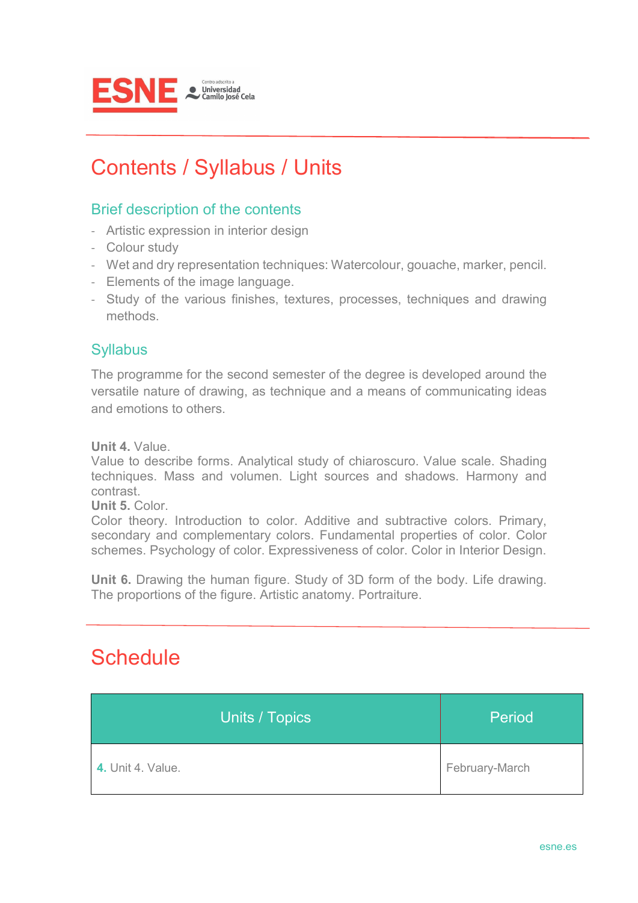

# Contents / Syllabus / Units

#### Brief description of the contents

- Artistic expression in interior design
- Colour study
- Wet and dry representation techniques: Watercolour, gouache, marker, pencil.
- Elements of the image language.
- Study of the various finishes, textures, processes, techniques and drawing methods.

#### **Syllabus**

The programme for the second semester of the degree is developed around the versatile nature of drawing, as technique and a means of communicating ideas and emotions to others.

**Unit 4.** Value.

Value to describe forms. Analytical study of chiaroscuro. Value scale. Shading techniques. Mass and volumen. Light sources and shadows. Harmony and contrast.

**Unit 5.** Color.

Color theory. Introduction to color. Additive and subtractive colors. Primary, secondary and complementary colors. Fundamental properties of color. Color schemes. Psychology of color. Expressiveness of color. Color in Interior Design.

**Unit 6.** Drawing the human figure. Study of 3D form of the body. Life drawing. The proportions of the figure. Artistic anatomy. Portraiture.

## **Schedule**

| Units / Topics           | Period         |
|--------------------------|----------------|
| <b>4.</b> Unit 4. Value. | February-March |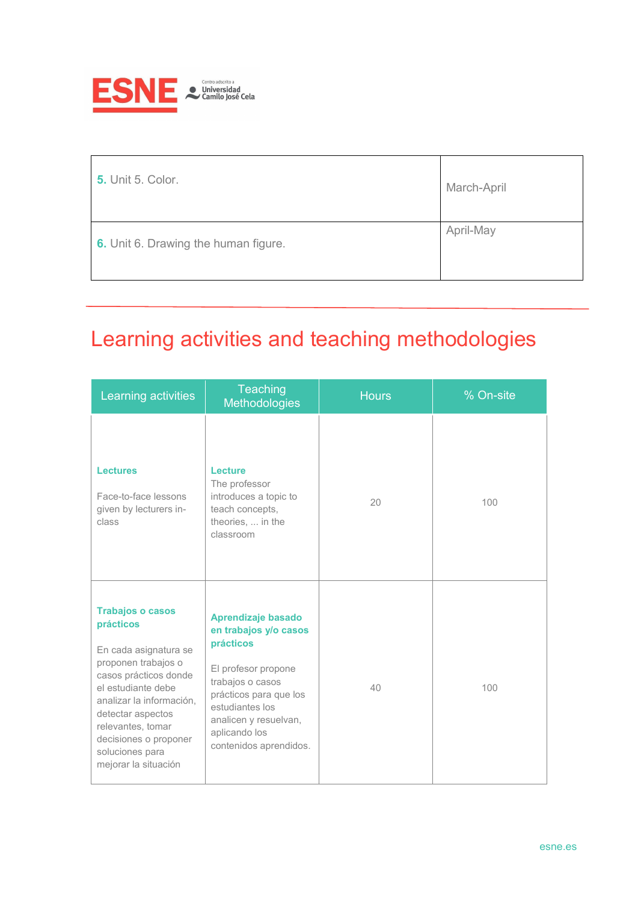

| <b>5.</b> Unit 5. Color.             | March-April |
|--------------------------------------|-------------|
| 6. Unit 6. Drawing the human figure. | April-May   |

# Learning activities and teaching methodologies

| Learning activities                                                                                                                                                                                                                                                           | Teaching<br>Methodologies                                                                                                                                                                                            | <b>Hours</b> | % On-site |
|-------------------------------------------------------------------------------------------------------------------------------------------------------------------------------------------------------------------------------------------------------------------------------|----------------------------------------------------------------------------------------------------------------------------------------------------------------------------------------------------------------------|--------------|-----------|
| <b>Lectures</b><br>Face-to-face lessons<br>given by lecturers in-<br>class                                                                                                                                                                                                    | Lecture<br>The professor<br>introduces a topic to<br>teach concepts,<br>theories,  in the<br>classroom                                                                                                               | 20           | 100       |
| <b>Trabajos o casos</b><br>prácticos<br>En cada asignatura se<br>proponen trabajos o<br>casos prácticos donde<br>el estudiante debe<br>analizar la información,<br>detectar aspectos<br>relevantes, tomar<br>decisiones o proponer<br>soluciones para<br>mejorar la situación | Aprendizaje basado<br>en trabajos y/o casos<br>prácticos<br>El profesor propone<br>trabajos o casos<br>prácticos para que los<br>estudiantes los<br>analicen y resuelvan,<br>aplicando los<br>contenidos aprendidos. | 40           | 100       |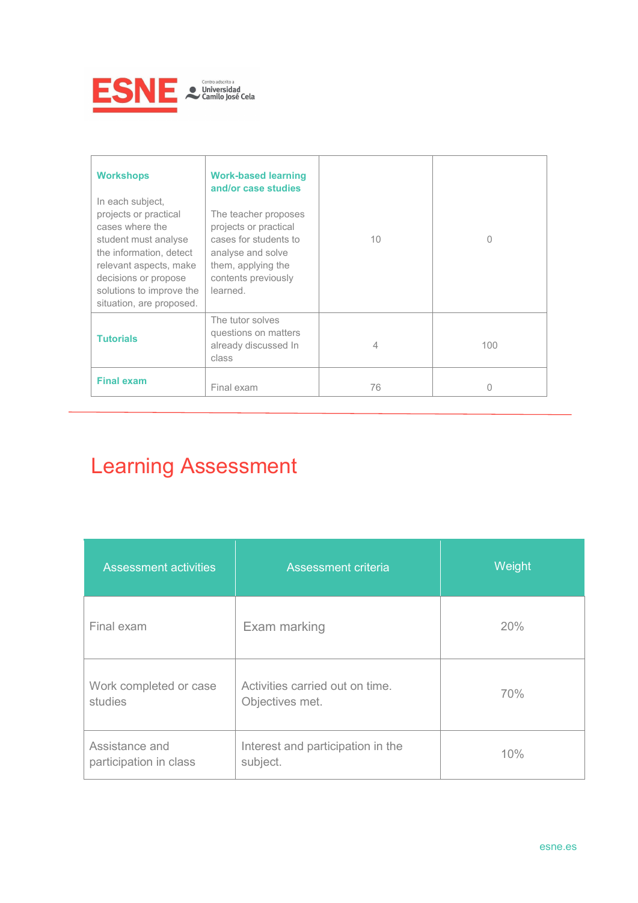

| <b>Workshops</b><br>In each subject,<br>projects or practical<br>cases where the<br>student must analyse<br>the information, detect<br>relevant aspects, make<br>decisions or propose<br>solutions to improve the<br>situation, are proposed. | <b>Work-based learning</b><br>and/or case studies<br>The teacher proposes<br>projects or practical<br>cases for students to<br>analyse and solve<br>them, applying the<br>contents previously<br>learned. | 10 <sup>°</sup> | Ω   |
|-----------------------------------------------------------------------------------------------------------------------------------------------------------------------------------------------------------------------------------------------|-----------------------------------------------------------------------------------------------------------------------------------------------------------------------------------------------------------|-----------------|-----|
| <b>Tutorials</b>                                                                                                                                                                                                                              | The tutor solves<br>questions on matters<br>already discussed In<br>class                                                                                                                                 | 4               | 100 |
| <b>Final exam</b>                                                                                                                                                                                                                             | Final exam                                                                                                                                                                                                | 76              |     |

# Learning Assessment

| <b>Assessment activities</b>             | Assessment criteria                                | Weight |
|------------------------------------------|----------------------------------------------------|--------|
| Final exam                               | Exam marking                                       | 20%    |
| Work completed or case<br>studies        | Activities carried out on time.<br>Objectives met. | 70%    |
| Assistance and<br>participation in class | Interest and participation in the<br>subject.      | 10%    |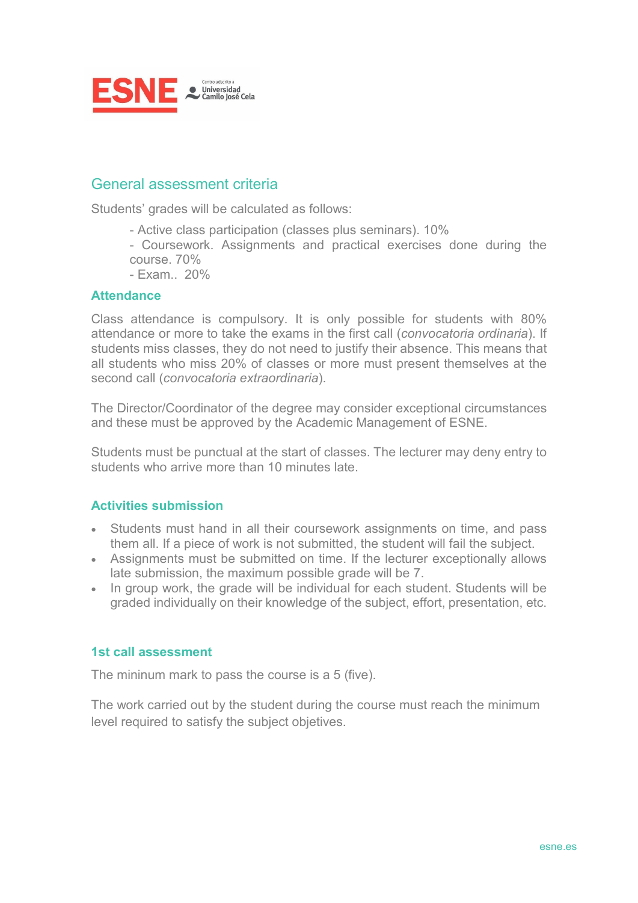

#### General assessment criteria

Students' grades will be calculated as follows:

- Active class participation (classes plus seminars). 10%
- Coursework. Assignments and practical exercises done during the course. 70%
- Exam.. 20%

#### **Attendance**

Class attendance is compulsory. It is only possible for students with 80% attendance or more to take the exams in the first call (*convocatoria ordinaria*). If students miss classes, they do not need to justify their absence. This means that all students who miss 20% of classes or more must present themselves at the second call (*convocatoria extraordinaria*).

The Director/Coordinator of the degree may consider exceptional circumstances and these must be approved by the Academic Management of ESNE.

Students must be punctual at the start of classes. The lecturer may deny entry to students who arrive more than 10 minutes late.

#### **Activities submission**

- Students must hand in all their coursework assignments on time, and pass them all. If a piece of work is not submitted, the student will fail the subject.
- Assignments must be submitted on time. If the lecturer exceptionally allows late submission, the maximum possible grade will be 7.
- In group work, the grade will be individual for each student. Students will be graded individually on their knowledge of the subject, effort, presentation, etc.

#### **1st call assessment**

The mininum mark to pass the course is a 5 (five).

The work carried out by the student during the course must reach the minimum level required to satisfy the subject objetives.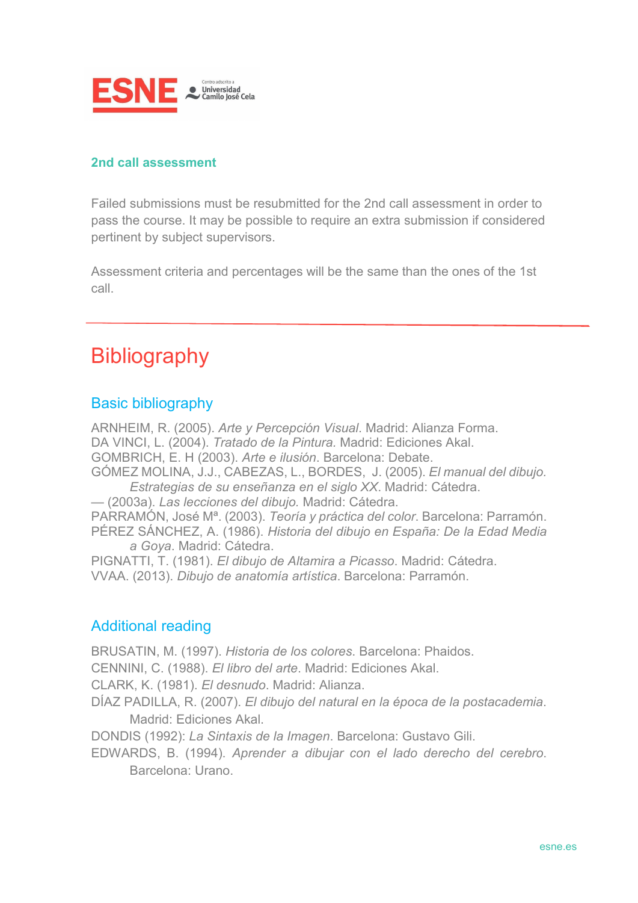

#### **2nd call assessment**

Failed submissions must be resubmitted for the 2nd call assessment in order to pass the course. It may be possible to require an extra submission if considered pertinent by subject supervisors.

Assessment criteria and percentages will be the same than the ones of the 1st call.

## **Bibliography**

#### Basic bibliography

ARNHEIM, R. (2005). *Arte y Percepción Visual*. Madrid: Alianza Forma. DA VINCI, L. (2004). *Tratado de la Pintura.* Madrid: Ediciones Akal. GOMBRICH, E. H (2003). *Arte e ilusión*. Barcelona: Debate. GÓMEZ MOLINA, J.J., CABEZAS, L., BORDES, J. (2005). *El manual del dibujo. Estrategias de su enseñanza en el siglo XX*. Madrid: Cátedra. — (2003a). *Las lecciones del dibujo.* Madrid: Cátedra. PARRAMÓN, José Mª. (2003). *Teoría y práctica del color*. Barcelona: Parramón. PÉREZ SÁNCHEZ, A. (1986). *Historia del dibujo en España: De la Edad Media a Goya*. Madrid: Cátedra. PIGNATTI, T. (1981). *El dibujo de Altamira a Picasso*. Madrid: Cátedra. VVAA. (2013). *Dibujo de anatomía artística*. Barcelona: Parramón.

#### Additional reading

BRUSATIN, M. (1997). *Historia de los colores*. Barcelona: Phaidos.

CENNINI, C. (1988). *El libro del arte*. Madrid: Ediciones Akal.

CLARK, K. (1981). *El desnudo*. Madrid: Alianza.

DÍAZ PADILLA, R. (2007). *El dibujo del natural en la época de la postacademia*. Madrid: Ediciones Akal.

DONDIS (1992): *La Sintaxis de la Imagen*. Barcelona: Gustavo Gili.

EDWARDS, B. (1994). *Aprender a dibujar con el lado derecho del cerebro*. Barcelona: Urano.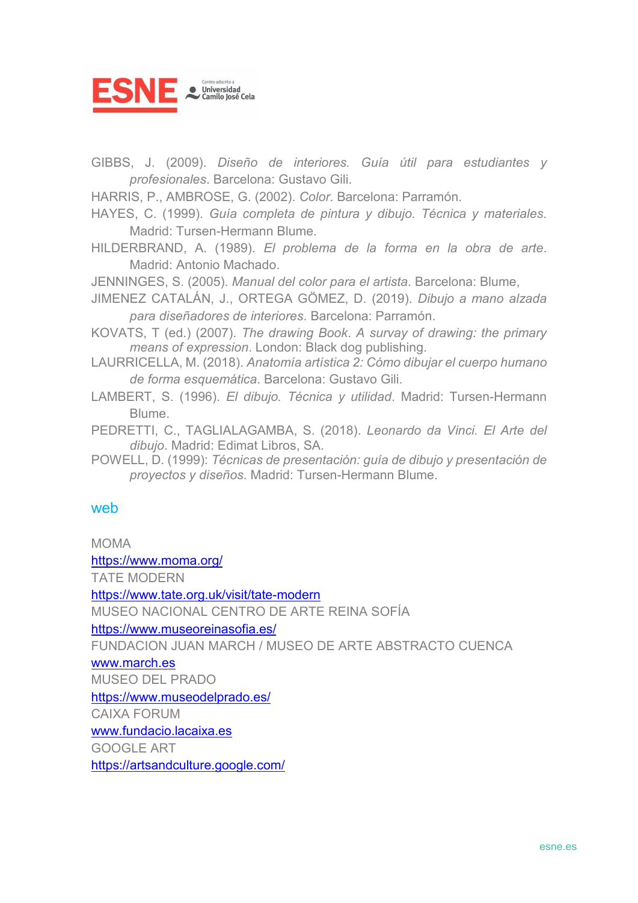

- GIBBS, J. (2009). *Diseño de interiores. Guía útil para estudiantes y profesionales*. Barcelona: Gustavo Gili.
- HARRIS, P., AMBROSE, G. (2002). *Color*. Barcelona: Parramón.
- HAYES, C. (1999). *Guía completa de pintura y dibujo. Técnica y materiales*. Madrid: Tursen-Hermann Blume.
- HILDERBRAND, A. (1989). *El problema de la forma en la obra de arte*. Madrid: Antonio Machado.
- JENNINGES, S. (2005). *Manual del color para el artista*. Barcelona: Blume,
- JIMENEZ CATALÁN, J., ORTEGA GÖMEZ, D. (2019). *Dibujo a mano alzada para diseñadores de interiores*. Barcelona: Parramón.
- KOVATS, T (ed.) (2007). *The drawing Book*. *A survay of drawing: the primary means of expression*. London: Black dog publishing.
- LAURRICELLA, M. (2018). *Anatomía artística 2: Cómo dibujar el cuerpo humano de forma esquemática*. Barcelona: Gustavo Gili.
- LAMBERT, S. (1996). *El dibujo. Técnica y utilidad*. Madrid: Tursen-Hermann **Blume**
- PEDRETTI, C., TAGLIALAGAMBA, S. (2018). *Leonardo da Vinci. El Arte del dibujo*. Madrid: Edimat Libros, SA.
- POWELL, D. (1999): *Técnicas de presentación: guía de dibujo y presentación de proyectos y diseños*. Madrid: Tursen-Hermann Blume.

#### web

MOMA <https://www.moma.org/> TATE MODERN <https://www.tate.org.uk/visit/tate-modern> MUSEO NACIONAL CENTRO DE ARTE REINA SOFÍA <https://www.museoreinasofia.es/> FUNDACION JUAN MARCH / MUSEO DE ARTE ABSTRACTO CUENCA [www.march.es](http://www.march.es/) MUSEO DEL PRADO <https://www.museodelprado.es/> CAIXA FORUM [www.fundacio.lacaixa.es](http://www.fundacio.lacaixa.es/) GOOGLE ART

<https://artsandculture.google.com/>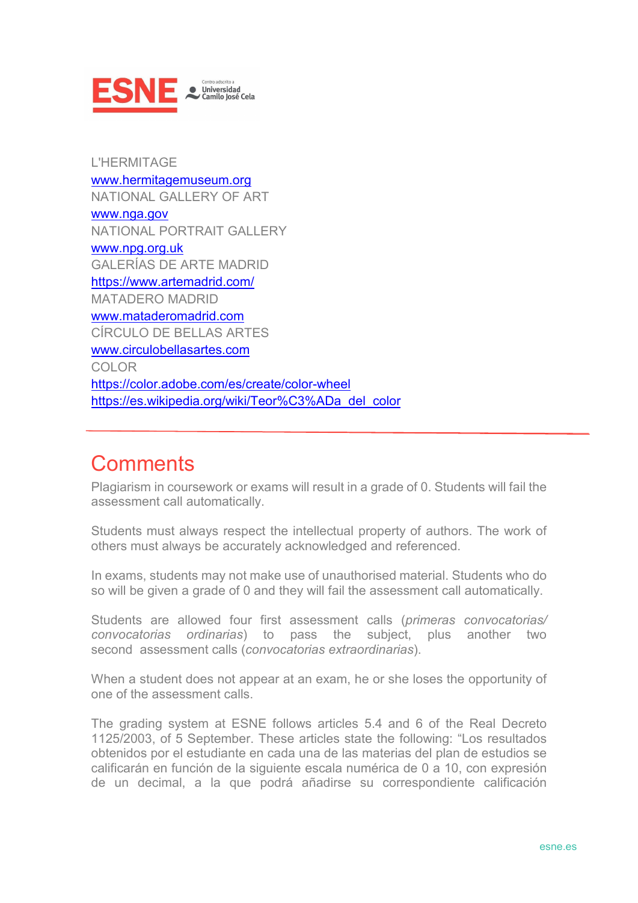

L'HERMITAGE [www.hermitagemuseum.org](http://www.hermitagemuseum.org/) NATIONAL GALLERY OF ART [www.nga.gov](http://www.nga.gov/) NATIONAL PORTRAIT GALLERY [www.npg.org.uk](http://www.npg.org.uk/) GALERÍAS DE ARTE MADRID <https://www.artemadrid.com/> MATADERO MADRID [www.mataderomadrid.com](http://www.mataderomadrid.com/) CÍRCULO DE BELLAS ARTES [www.circulobellasartes.com](http://www.circulobellasartes.com/) COLOR <https://color.adobe.com/es/create/color-wheel> https://es.wikipedia.org/wiki/Teor%C3%ADa\_del\_color

## **Comments**

Plagiarism in coursework or exams will result in a grade of 0. Students will fail the assessment call automatically.

Students must always respect the intellectual property of authors. The work of others must always be accurately acknowledged and referenced.

In exams, students may not make use of unauthorised material. Students who do so will be given a grade of 0 and they will fail the assessment call automatically.

Students are allowed four first assessment calls (*primeras convocatorias/ convocatorias ordinarias*) to pass the subject, plus another two second assessment calls (*convocatorias extraordinarias*).

When a student does not appear at an exam, he or she loses the opportunity of one of the assessment calls.

The grading system at ESNE follows articles 5.4 and 6 of the Real Decreto 1125/2003, of 5 September. These articles state the following: "Los resultados obtenidos por el estudiante en cada una de las materias del plan de estudios se calificarán en función de la siguiente escala numérica de 0 a 10, con expresión de un decimal, a la que podrá añadirse su correspondiente calificación